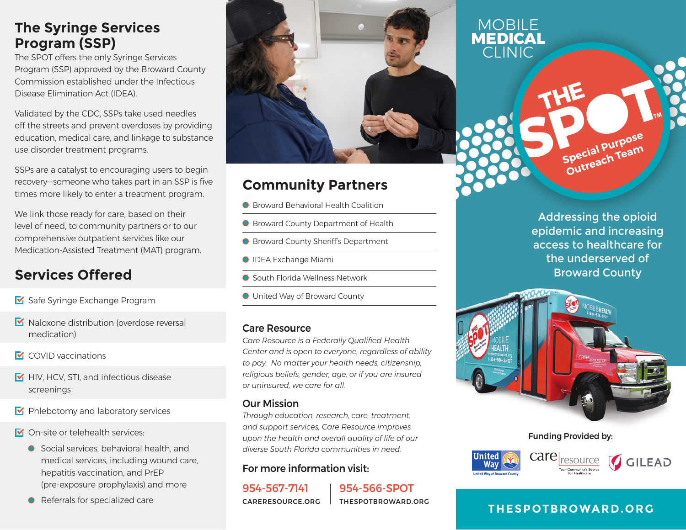# **The Syringe Services Program (SSP)**

The SPOT offers the only Syringe Services Program (SSP) approved by the Broward County Commission established under the Infectious Disease Elimination Act (IDEA).

Validated by the CDC, SSPs take used needles off the streets and prevent overdoses by providing education, medical care, and linkage to substance use disorder treatment programs.

SSPs are a catalyst to encouraging users to begin recovery—someone who takes part in an SSP is five times more likely to enter a treatment program.

We link those ready for care, based on their level of need, to community partners or to our comprehensive outpatient services like our Medication-Assisted Treatment (MAT) program.

# **Services Offered**

- Safe Syringe Exchange Program
- $\blacksquare$  Naloxone distribution (overdose reversal medication)
- **M** COVID vaccinations
- $\triangleright$  HIV, HCV, STI, and infectious disease screenings
- $\blacktriangleright$  Phlebotomy and laboratory services
- **M** On-site or telehealth services:
	- Social services, behavioral health, and medical services, including wound care, hepatitis vaccination, and PrEP (pre-exposure prophylaxis) and more
	- **O** Referrals for specialized care



# **Community Partners**

- Broward Behavioral Health Coalition
- **O** Broward County Department of Health
- Broward County Sheriff's Department
- **O** IDEA Exchange Miami
- South Florida Wellness Network
- United Way of Broward County

## Care Resource

*Care Resource is a Federally Qualified Health Center and is open to everyone, regardless of ability to pay. No matter your health needs, citizenship, religious beliefs, gender, age, or if you are insured or uninsured, we care for all.* 

## Our Mission

*Through education, research, care, treatment, and support services, Care Resource improves upon the health and overall quality of life of our diverse South Florida communities in need.* 

## For more information visit:

954-567-7141 CARERESOURCE.ORG 954-566-SPOT THESPOTBROWARD.ORG

Addressing the opioid epidemic and increasing access to healthcare for the underserved of Broward County

Special Purpose Special Purpos



**MOBILE MEDICAL** CLINIC

Funding Provided by:



## **THESPOTBROWARD.ORG**